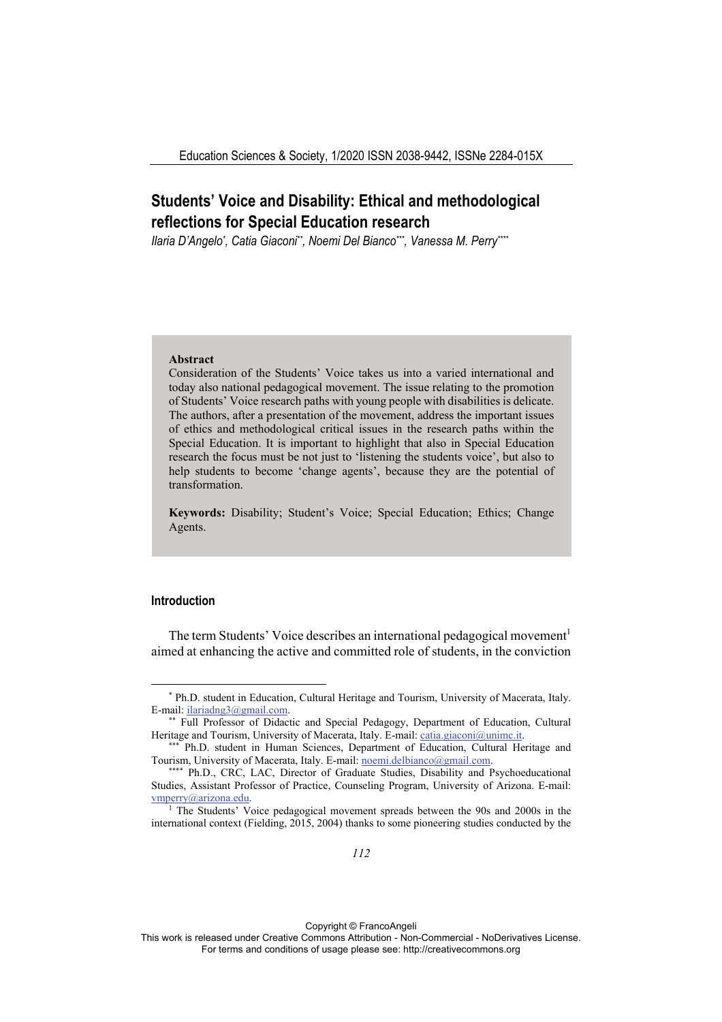# **Students' Voice and Disability: Ethical and methodological reflections for Special Education research**

Ilaria D'Angelo\*, Catia Giaconi\*\*, Noemi Del Bianco\*\*\*, Vanessa M. Perry\*\*\*\*

#### **Abstract**

Consideration of the Students' Voice takes us into a varied international and today also national pedagogical movement. The issue relating to the promotion of Students' Voice research paths with young people with disabilities is delicate. The authors, after a presentation of the movement, address the important issues of ethics and methodological critical issues in the research paths within the Special Education. It is important to highlight that also in Special Education research the focus must be not just to 'listening the students voice', but also to help students to become 'change agents', because they are the potential of transformation.

**Keywords:** Disability; Student's Voice; Special Education; Ethics; Change Agents.

# **Introduction**

The term Students' Voice describes an international pedagogical movement<sup>1</sup> aimed at enhancing the active and committed role of students, in the conviction

Doi: 10.3280/ess1-2020oa9537

Copyright © FrancoAngeli

This work is released under Creative Commons Attribution - Non-Commercial - NoDerivatives License. For terms and conditions of usage please see: http://creativecommons.org

<sup>\*</sup> Ph.D. student in Education, Cultural Heritage and Tourism, University of Macerata, Italy. E-mail: ilariadng3@gmail.com.<br>\*\* Full Professor of Didactic and Special Pedagogy, Department of Education, Cultural

Heritage and Tourism, University of Macerata, Italy. E-mail: catia.giaconi@unimc.it.<br>\*\*\* Ph.D. student in Human Sciences, Department of Education, Cultural Heritage and

Tourism, University of Macerata, Italy. E-mail: noemi.delbianco@gmail.com. \*\*\*\* Ph.D., CRC, LAC, Director of Graduate Studies, Disability and Psychoeducational

Studies, Assistant Professor of Practice, Counseling Program, University of Arizona. E-mail:  $v_{\text{mperry}}$  (@arizona.edu. 1 The Students' Voice pedagogical movement spreads between the 90s and 2000s in the

international context (Fielding, 2015, 2004) thanks to some pioneering studies conducted by the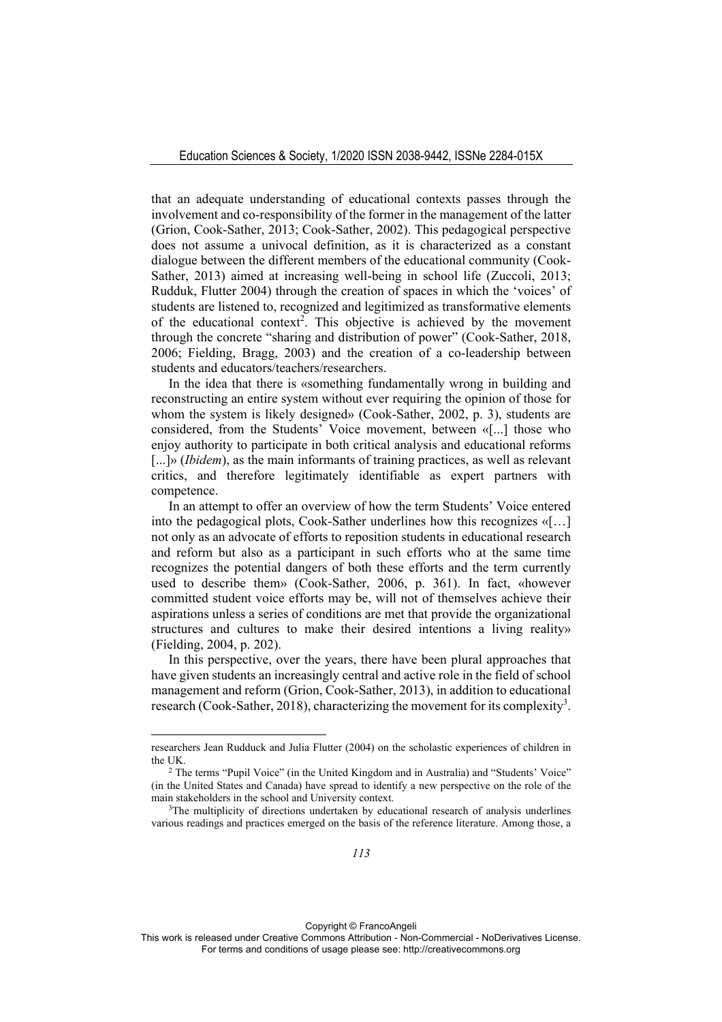that an adequate understanding of educational contexts passes through the involvement and co-responsibility of the former in the management of the latter (Grion, Cook-Sather, 2013; Cook-Sather, 2002). This pedagogical perspective does not assume a univocal definition, as it is characterized as a constant dialogue between the different members of the educational community (Cook-Sather, 2013) aimed at increasing well-being in school life (Zuccoli, 2013; Rudduk, Flutter 2004) through the creation of spaces in which the 'voices' of students are listened to, recognized and legitimized as transformative elements of the educational context<sup>2</sup>. This objective is achieved by the movement through the concrete "sharing and distribution of power" (Cook-Sather, 2018, 2006; Fielding, Bragg, 2003) and the creation of a co-leadership between students and educators/teachers/researchers.

In the idea that there is «something fundamentally wrong in building and reconstructing an entire system without ever requiring the opinion of those for whom the system is likely designed» (Cook-Sather, 2002, p. 3), students are considered, from the Students' Voice movement, between «[...] those who enjoy authority to participate in both critical analysis and educational reforms [...]» *(Ibidem)*, as the main informants of training practices, as well as relevant critics, and therefore legitimately identifiable as expert partners with competence.

In an attempt to offer an overview of how the term Students' Voice entered into the pedagogical plots, Cook-Sather underlines how this recognizes «[…] not only as an advocate of efforts to reposition students in educational research and reform but also as a participant in such efforts who at the same time recognizes the potential dangers of both these efforts and the term currently used to describe them» (Cook-Sather, 2006, p. 361). In fact, «however committed student voice efforts may be, will not of themselves achieve their aspirations unless a series of conditions are met that provide the organizational structures and cultures to make their desired intentions a living reality» (Fielding, 2004, p. 202).

In this perspective, over the years, there have been plural approaches that have given students an increasingly central and active role in the field of school management and reform (Grion, Cook-Sather, 2013), in addition to educational research (Cook-Sather, 2018), characterizing the movement for its complexity<sup>3</sup>.

researchers Jean Rudduck and Julia Flutter (2004) on the scholastic experiences of children in the UK. 2 The terms "Pupil Voice" (in the United Kingdom and in Australia) and "Students' Voice"

<sup>(</sup>in the United States and Canada) have spread to identify a new perspective on the role of the main stakeholders in the school and University context.<br><sup>3</sup>The multiplicity of directions undertaken by educational research of analysis underlines

various readings and practices emerged on the basis of the reference literature. Among those, a

This work is released under Creative Commons Attribution - Non-Commercial - NoDerivatives License. For terms and conditions of usage please see: http://creativecommons.org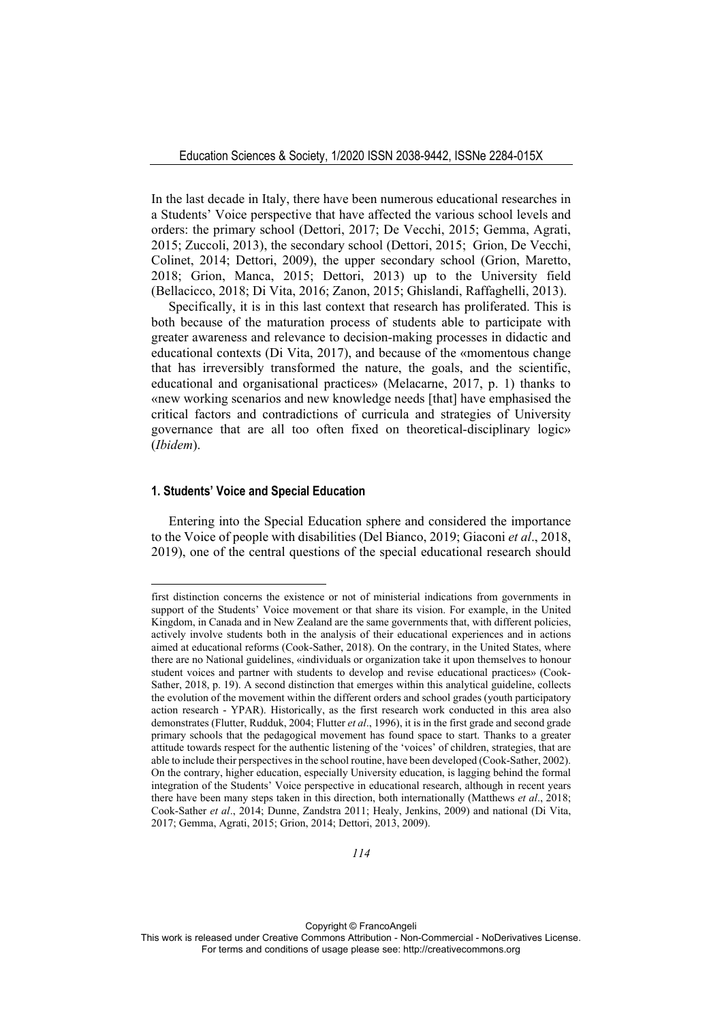In the last decade in Italy, there have been numerous educational researches in a Students' Voice perspective that have affected the various school levels and orders: the primary school (Dettori, 2017; De Vecchi, 2015; Gemma, Agrati, 2015; Zuccoli, 2013), the secondary school (Dettori, 2015; Grion, De Vecchi, Colinet, 2014; Dettori, 2009), the upper secondary school (Grion, Maretto, 2018; Grion, Manca, 2015; Dettori, 2013) up to the University field (Bellacicco, 2018; Di Vita, 2016; Zanon, 2015; Ghislandi, Raffaghelli, 2013).

Specifically, it is in this last context that research has proliferated. This is both because of the maturation process of students able to participate with greater awareness and relevance to decision-making processes in didactic and educational contexts (Di Vita, 2017), and because of the «momentous change that has irreversibly transformed the nature, the goals, and the scientific, educational and organisational practices» (Melacarne, 2017, p. 1) thanks to «new working scenarios and new knowledge needs [that] have emphasised the critical factors and contradictions of curricula and strategies of University governance that are all too often fixed on theoretical-disciplinary logic» (*Ibidem*).

## **1. Students' Voice and Special Education**

Entering into the Special Education sphere and considered the importance to the Voice of people with disabilities (Del Bianco, 2019; Giaconi *et al*., 2018, 2019), one of the central questions of the special educational research should

first distinction concerns the existence or not of ministerial indications from governments in support of the Students' Voice movement or that share its vision. For example, in the United Kingdom, in Canada and in New Zealand are the same governments that, with different policies, actively involve students both in the analysis of their educational experiences and in actions aimed at educational reforms (Cook-Sather, 2018). On the contrary, in the United States, where there are no National guidelines, «individuals or organization take it upon themselves to honour student voices and partner with students to develop and revise educational practices» (Cook-Sather, 2018, p. 19). A second distinction that emerges within this analytical guideline, collects the evolution of the movement within the different orders and school grades (youth participatory action research - YPAR). Historically, as the first research work conducted in this area also demonstrates (Flutter, Rudduk, 2004; Flutter *et al*., 1996), it is in the first grade and second grade primary schools that the pedagogical movement has found space to start. Thanks to a greater attitude towards respect for the authentic listening of the 'voices' of children, strategies, that are able to include their perspectives in the school routine, have been developed (Cook-Sather, 2002). On the contrary, higher education, especially University education, is lagging behind the formal integration of the Students' Voice perspective in educational research, although in recent years there have been many steps taken in this direction, both internationally (Matthews *et al*., 2018; Cook-Sather *et al*., 2014; Dunne, Zandstra 2011; Healy, Jenkins, 2009) and national (Di Vita, 2017; Gemma, Agrati, 2015; Grion, 2014; Dettori, 2013, 2009).

This work is released under Creative Commons Attribution - Non-Commercial - NoDerivatives License. For terms and conditions of usage please see: http://creativecommons.org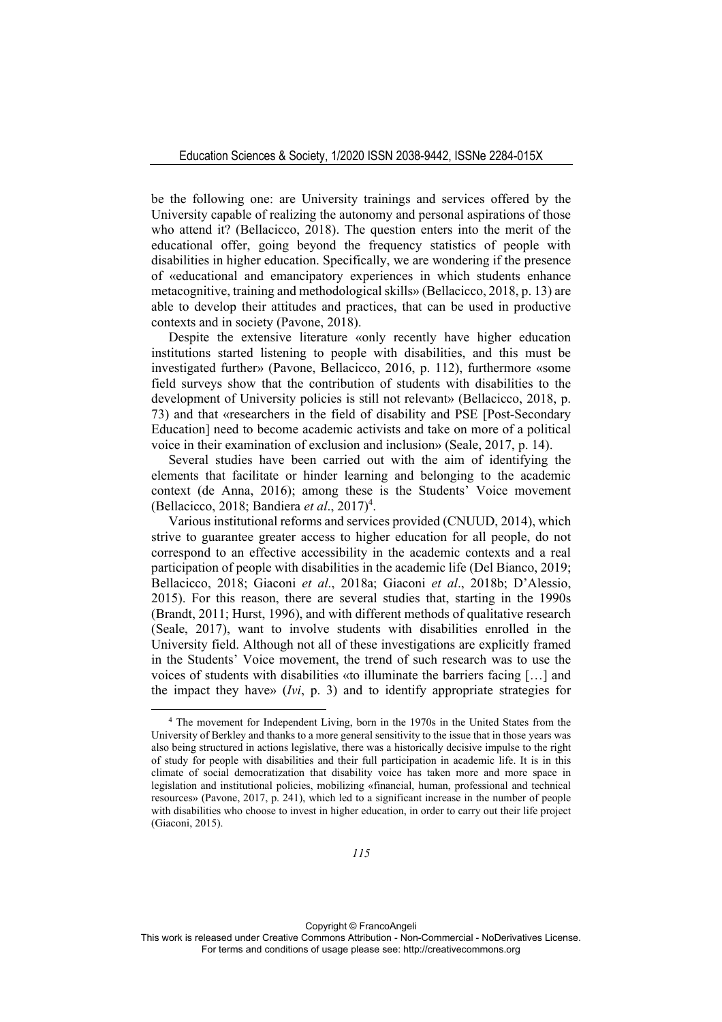be the following one: are University trainings and services offered by the University capable of realizing the autonomy and personal aspirations of those who attend it? (Bellacicco, 2018). The question enters into the merit of the educational offer, going beyond the frequency statistics of people with disabilities in higher education. Specifically, we are wondering if the presence of «educational and emancipatory experiences in which students enhance metacognitive, training and methodological skills» (Bellacicco, 2018, p. 13) are able to develop their attitudes and practices, that can be used in productive contexts and in society (Pavone, 2018).

Despite the extensive literature «only recently have higher education institutions started listening to people with disabilities, and this must be investigated further» (Pavone, Bellacicco, 2016, p. 112), furthermore «some field surveys show that the contribution of students with disabilities to the development of University policies is still not relevant» (Bellacicco, 2018, p. 73) and that «researchers in the field of disability and PSE [Post-Secondary Education] need to become academic activists and take on more of a political voice in their examination of exclusion and inclusion» (Seale, 2017, p. 14).

Several studies have been carried out with the aim of identifying the elements that facilitate or hinder learning and belonging to the academic context (de Anna, 2016); among these is the Students' Voice movement (Bellacicco, 2018; Bandiera *et al.*, 2017)<sup>4</sup>.

Various institutional reforms and services provided (CNUUD, 2014), which strive to guarantee greater access to higher education for all people, do not correspond to an effective accessibility in the academic contexts and a real participation of people with disabilities in the academic life (Del Bianco, 2019; Bellacicco, 2018; Giaconi *et al*., 2018a; Giaconi *et al*., 2018b; D'Alessio, 2015). For this reason, there are several studies that, starting in the 1990s (Brandt, 2011; Hurst, 1996), and with different methods of qualitative research (Seale, 2017), want to involve students with disabilities enrolled in the University field. Although not all of these investigations are explicitly framed in the Students' Voice movement, the trend of such research was to use the voices of students with disabilities «to illuminate the barriers facing […] and the impact they have» (*Ivi*, p. 3) and to identify appropriate strategies for

<sup>4</sup> The movement for Independent Living, born in the 1970s in the United States from the University of Berkley and thanks to a more general sensitivity to the issue that in those years was also being structured in actions legislative, there was a historically decisive impulse to the right of study for people with disabilities and their full participation in academic life. It is in this climate of social democratization that disability voice has taken more and more space in legislation and institutional policies, mobilizing «financial, human, professional and technical resources» (Pavone, 2017, p. 241), which led to a significant increase in the number of people with disabilities who choose to invest in higher education, in order to carry out their life project (Giaconi, 2015).

This work is released under Creative Commons Attribution - Non-Commercial - NoDerivatives License. For terms and conditions of usage please see: http://creativecommons.org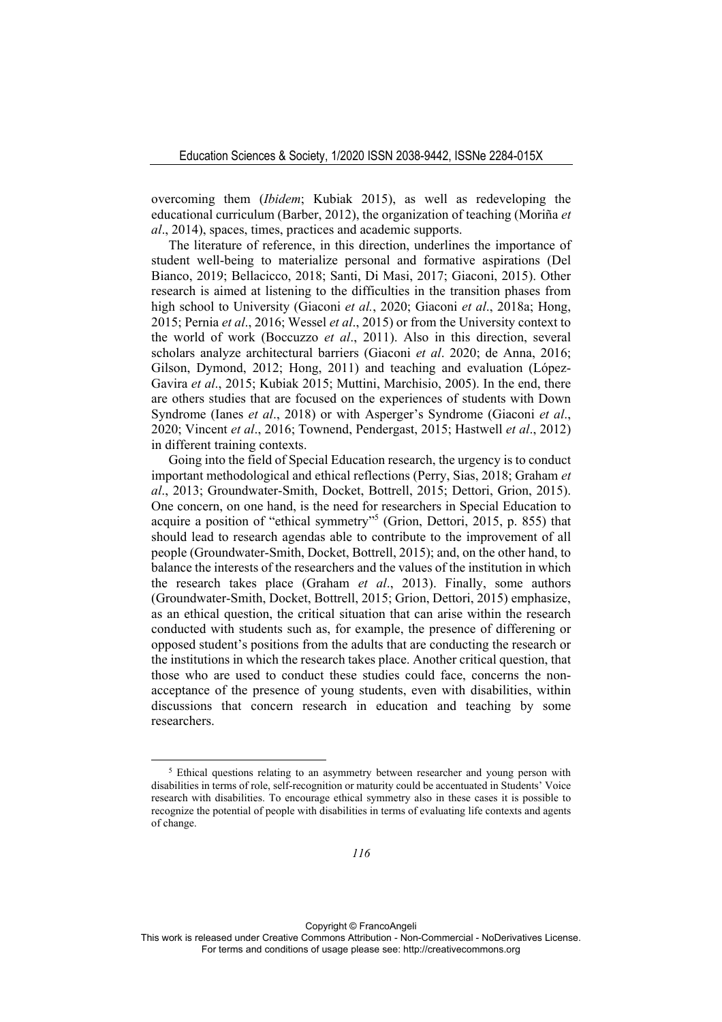overcoming them (*Ibidem*; Kubiak 2015), as well as redeveloping the educational curriculum (Barber, 2012), the organization of teaching (Moriña *et al*., 2014), spaces, times, practices and academic supports.

The literature of reference, in this direction, underlines the importance of student well-being to materialize personal and formative aspirations (Del Bianco, 2019; Bellacicco, 2018; Santi, Di Masi, 2017; Giaconi, 2015). Other research is aimed at listening to the difficulties in the transition phases from high school to University (Giaconi *et al.*, 2020; Giaconi *et al*., 2018a; Hong, 2015; Pernia *et al*., 2016; Wessel *et al*., 2015) or from the University context to the world of work (Boccuzzo *et al*., 2011). Also in this direction, several scholars analyze architectural barriers (Giaconi *et al*. 2020; de Anna, 2016; Gilson, Dymond, 2012; Hong, 2011) and teaching and evaluation (López-Gavira *et al*., 2015; Kubiak 2015; Muttini, Marchisio, 2005). In the end, there are others studies that are focused on the experiences of students with Down Syndrome (Ianes *et al*., 2018) or with Asperger's Syndrome (Giaconi *et al*., 2020; Vincent *et al*., 2016; Townend, Pendergast, 2015; Hastwell *et al*., 2012) in different training contexts.

Going into the field of Special Education research, the urgency is to conduct important methodological and ethical reflections (Perry, Sias, 2018; Graham *et al*., 2013; Groundwater-Smith, Docket, Bottrell, 2015; Dettori, Grion, 2015). One concern, on one hand, is the need for researchers in Special Education to acquire a position of "ethical symmetry"5 (Grion, Dettori, 2015, p. 855) that should lead to research agendas able to contribute to the improvement of all people (Groundwater-Smith, Docket, Bottrell, 2015); and, on the other hand, to balance the interests of the researchers and the values of the institution in which the research takes place (Graham *et al*., 2013). Finally, some authors (Groundwater-Smith, Docket, Bottrell, 2015; Grion, Dettori, 2015) emphasize, as an ethical question, the critical situation that can arise within the research conducted with students such as, for example, the presence of differening or opposed student's positions from the adults that are conducting the research or the institutions in which the research takes place. Another critical question, that those who are used to conduct these studies could face, concerns the nonacceptance of the presence of young students, even with disabilities, within discussions that concern research in education and teaching by some researchers.

<sup>&</sup>lt;sup>5</sup> Ethical questions relating to an asymmetry between researcher and young person with disabilities in terms of role, self-recognition or maturity could be accentuated in Students' Voice research with disabilities. To encourage ethical symmetry also in these cases it is possible to recognize the potential of people with disabilities in terms of evaluating life contexts and agents of change.

This work is released under Creative Commons Attribution - Non-Commercial - NoDerivatives License. For terms and conditions of usage please see: http://creativecommons.org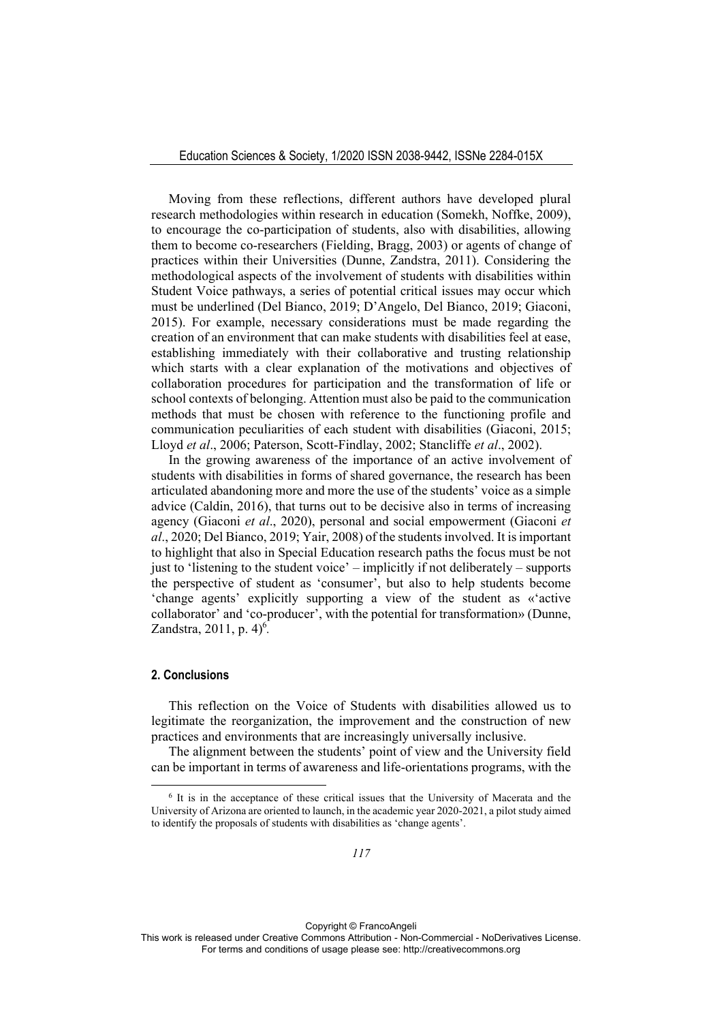Moving from these reflections, different authors have developed plural research methodologies within research in education (Somekh, Noffke, 2009), to encourage the co-participation of students, also with disabilities, allowing them to become co-researchers (Fielding, Bragg, 2003) or agents of change of practices within their Universities (Dunne, Zandstra, 2011). Considering the methodological aspects of the involvement of students with disabilities within Student Voice pathways, a series of potential critical issues may occur which must be underlined (Del Bianco, 2019; D'Angelo, Del Bianco, 2019; Giaconi, 2015). For example, necessary considerations must be made regarding the creation of an environment that can make students with disabilities feel at ease, establishing immediately with their collaborative and trusting relationship which starts with a clear explanation of the motivations and objectives of collaboration procedures for participation and the transformation of life or school contexts of belonging. Attention must also be paid to the communication methods that must be chosen with reference to the functioning profile and communication peculiarities of each student with disabilities (Giaconi, 2015; Lloyd *et al*., 2006; Paterson, Scott-Findlay, 2002; Stancliffe *et al*., 2002).

In the growing awareness of the importance of an active involvement of students with disabilities in forms of shared governance, the research has been articulated abandoning more and more the use of the students' voice as a simple advice (Caldin, 2016), that turns out to be decisive also in terms of increasing agency (Giaconi *et al*., 2020), personal and social empowerment (Giaconi *et al*., 2020; Del Bianco, 2019; Yair, 2008) of the students involved. It is important to highlight that also in Special Education research paths the focus must be not just to 'listening to the student voice' – implicitly if not deliberately – supports the perspective of student as 'consumer', but also to help students become 'change agents' explicitly supporting a view of the student as «'active collaborator' and 'co-producer', with the potential for transformation» (Dunne, Zandstra, 2011, p. 4)<sup>6</sup>.

## **2. Conclusions**

This reflection on the Voice of Students with disabilities allowed us to legitimate the reorganization, the improvement and the construction of new practices and environments that are increasingly universally inclusive.

The alignment between the students' point of view and the University field can be important in terms of awareness and life-orientations programs, with the

<sup>6</sup> It is in the acceptance of these critical issues that the University of Macerata and the University of Arizona are oriented to launch, in the academic year 2020-2021, a pilot study aimed to identify the proposals of students with disabilities as 'change agents'.

This work is released under Creative Commons Attribution - Non-Commercial - NoDerivatives License. For terms and conditions of usage please see: http://creativecommons.org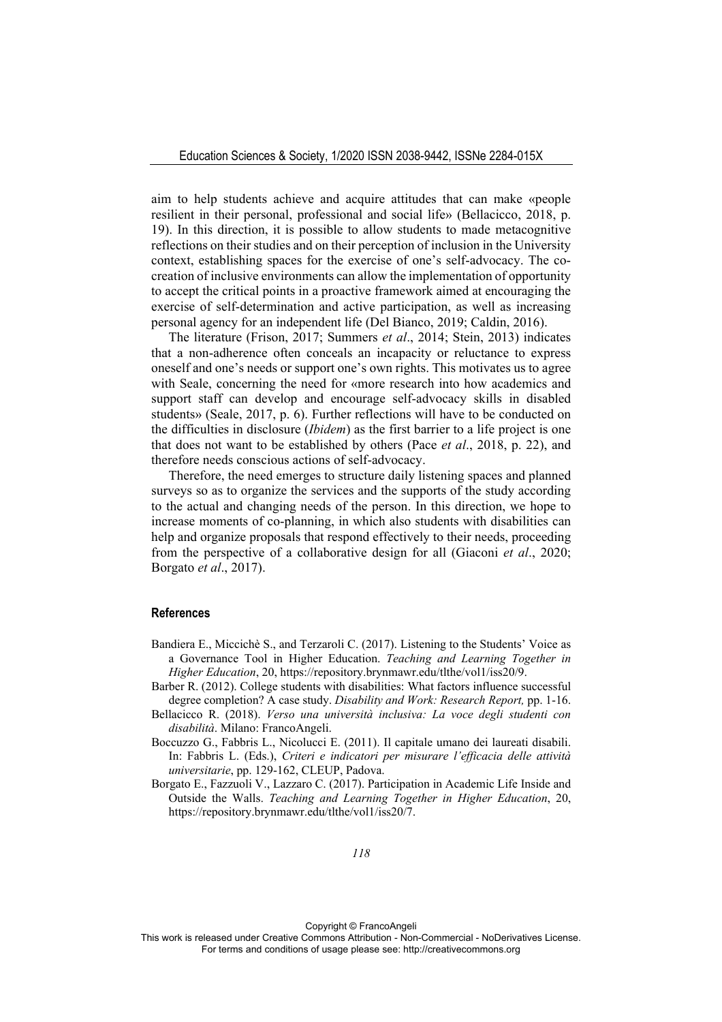aim to help students achieve and acquire attitudes that can make «people resilient in their personal, professional and social life» (Bellacicco, 2018, p. 19). In this direction, it is possible to allow students to made metacognitive reflections on their studies and on their perception of inclusion in the University context, establishing spaces for the exercise of one's self-advocacy. The cocreation of inclusive environments can allow the implementation of opportunity to accept the critical points in a proactive framework aimed at encouraging the exercise of self-determination and active participation, as well as increasing personal agency for an independent life (Del Bianco, 2019; Caldin, 2016).

The literature (Frison, 2017; Summers *et al*., 2014; Stein, 2013) indicates that a non-adherence often conceals an incapacity or reluctance to express oneself and one's needs or support one's own rights. This motivates us to agree with Seale, concerning the need for «more research into how academics and support staff can develop and encourage self-advocacy skills in disabled students» (Seale, 2017, p. 6). Further reflections will have to be conducted on the difficulties in disclosure (*Ibidem*) as the first barrier to a life project is one that does not want to be established by others (Pace *et al*., 2018, p. 22), and therefore needs conscious actions of self-advocacy.

Therefore, the need emerges to structure daily listening spaces and planned surveys so as to organize the services and the supports of the study according to the actual and changing needs of the person. In this direction, we hope to increase moments of co-planning, in which also students with disabilities can help and organize proposals that respond effectively to their needs, proceeding from the perspective of a collaborative design for all (Giaconi *et al*., 2020; Borgato *et al*., 2017).

### **References**

- Bandiera E., Miccichè S., and Terzaroli C. (2017). Listening to the Students' Voice as a Governance Tool in Higher Education. *Teaching and Learning Together in Higher Education*, 20, https://repository.brynmawr.edu/tlthe/vol1/iss20/9.
- Barber R. (2012). College students with disabilities: What factors influence successful degree completion? A case study. *Disability and Work: Research Report,* pp. 1-16.
- Bellacicco R. (2018). *Verso una università inclusiva: La voce degli studenti con disabilità*. Milano: FrancoAngeli.
- Boccuzzo G., Fabbris L., Nicolucci E. (2011). Il capitale umano dei laureati disabili. In: Fabbris L. (Eds.), *Criteri e indicatori per misurare l'efficacia delle attività universitarie*, pp. 129-162, CLEUP, Padova.
- Borgato E., Fazzuoli V., Lazzaro C. (2017). Participation in Academic Life Inside and Outside the Walls. *Teaching and Learning Together in Higher Education*, 20, https://repository.brynmawr.edu/tlthe/vol1/iss20/7.

This work is released under Creative Commons Attribution - Non-Commercial - NoDerivatives License. For terms and conditions of usage please see: http://creativecommons.org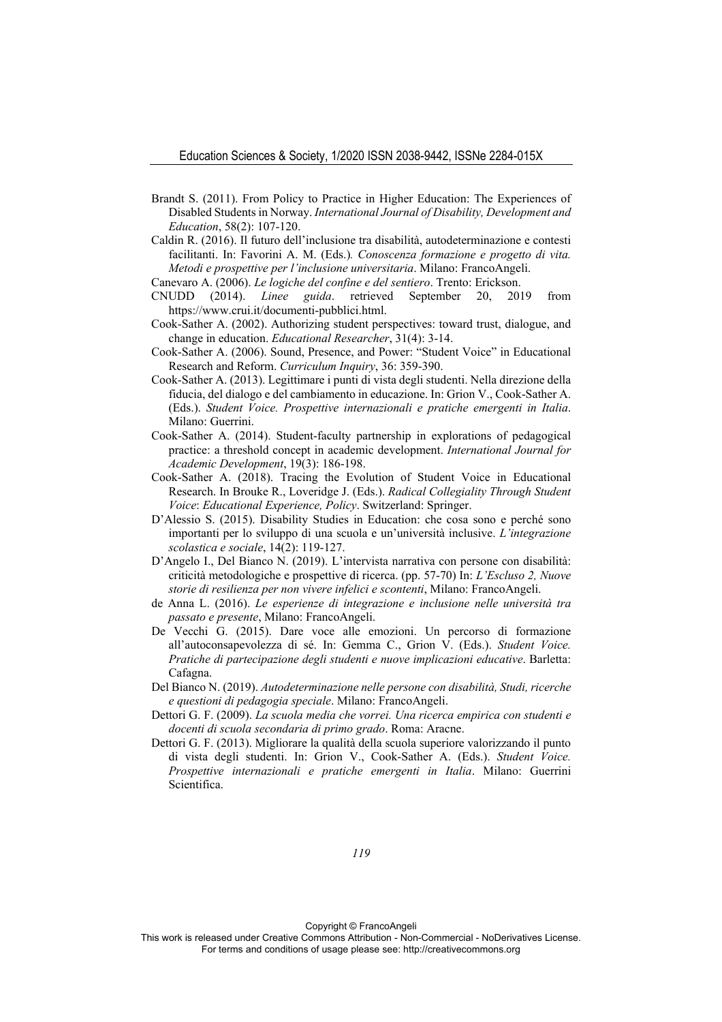- Brandt S. (2011). From Policy to Practice in Higher Education: The Experiences of Disabled Students in Norway. *International Journal of Disability, Development and Education*, 58(2): 107-120.
- Caldin R. (2016). Il futuro dell'inclusione tra disabilità, autodeterminazione e contesti facilitanti. In: Favorini A. M. (Eds.)*. Conoscenza formazione e progetto di vita. Metodi e prospettive per l'inclusione universitaria*. Milano: FrancoAngeli.
- Canevaro A. (2006). *Le logiche del confine e del sentiero*. Trento: Erickson.
- CNUDD (2014). *Linee guida*. retrieved September 20, 2019 from https://www.crui.it/documenti-pubblici.html.
- Cook-Sather A. (2002). Authorizing student perspectives: toward trust, dialogue, and change in education. *Educational Researcher*, 31(4): 3-14.
- Cook-Sather A. (2006). Sound, Presence, and Power: "Student Voice" in Educational Research and Reform. *Curriculum Inquiry*, 36: 359-390.
- Cook-Sather A. (2013). Legittimare i punti di vista degli studenti. Nella direzione della fiducia, del dialogo e del cambiamento in educazione. In: Grion V., Cook-Sather A. (Eds.). *Student Voice. Prospettive internazionali e pratiche emergenti in Italia*. Milano: Guerrini.
- Cook-Sather A. (2014). Student-faculty partnership in explorations of pedagogical practice: a threshold concept in academic development. *International Journal for Academic Development*, 19(3): 186-198.
- Cook-Sather A. (2018). Tracing the Evolution of Student Voice in Educational Research. In Brouke R., Loveridge J. (Eds.). *Radical Collegiality Through Student Voice*: *Educational Experience, Policy*. Switzerland: Springer.
- D'Alessio S. (2015). Disability Studies in Education: che cosa sono e perché sono importanti per lo sviluppo di una scuola e un'università inclusive. *L'integrazione scolastica e sociale*, 14(2): 119-127.
- D'Angelo I., Del Bianco N. (2019). L'intervista narrativa con persone con disabilità: criticità metodologiche e prospettive di ricerca. (pp. 57-70) In: *L'Escluso 2, Nuove storie di resilienza per non vivere infelici e scontenti*, Milano: FrancoAngeli.
- de Anna L. (2016). *Le esperienze di integrazione e inclusione nelle università tra passato e presente*, Milano: FrancoAngeli.
- De Vecchi G. (2015). Dare voce alle emozioni. Un percorso di formazione all'autoconsapevolezza di sé. In: Gemma C., Grion V. (Eds.). *Student Voice. Pratiche di partecipazione degli studenti e nuove implicazioni educative*. Barletta: Cafagna.
- Del Bianco N. (2019). *Autodeterminazione nelle persone con disabilità, Studi, ricerche e questioni di pedagogia speciale*. Milano: FrancoAngeli.
- Dettori G. F. (2009). *La scuola media che vorrei. Una ricerca empirica con studenti e docenti di scuola secondaria di primo grado*. Roma: Aracne.
- Dettori G. F. (2013). Migliorare la qualità della scuola superiore valorizzando il punto di vista degli studenti. In: Grion V., Cook-Sather A. (Eds.). *Student Voice. Prospettive internazionali e pratiche emergenti in Italia*. Milano: Guerrini Scientifica.

*119* 

Copyright © FrancoAngeli

This work is released under Creative Commons Attribution - Non-Commercial - NoDerivatives License. For terms and conditions of usage please see: http://creativecommons.org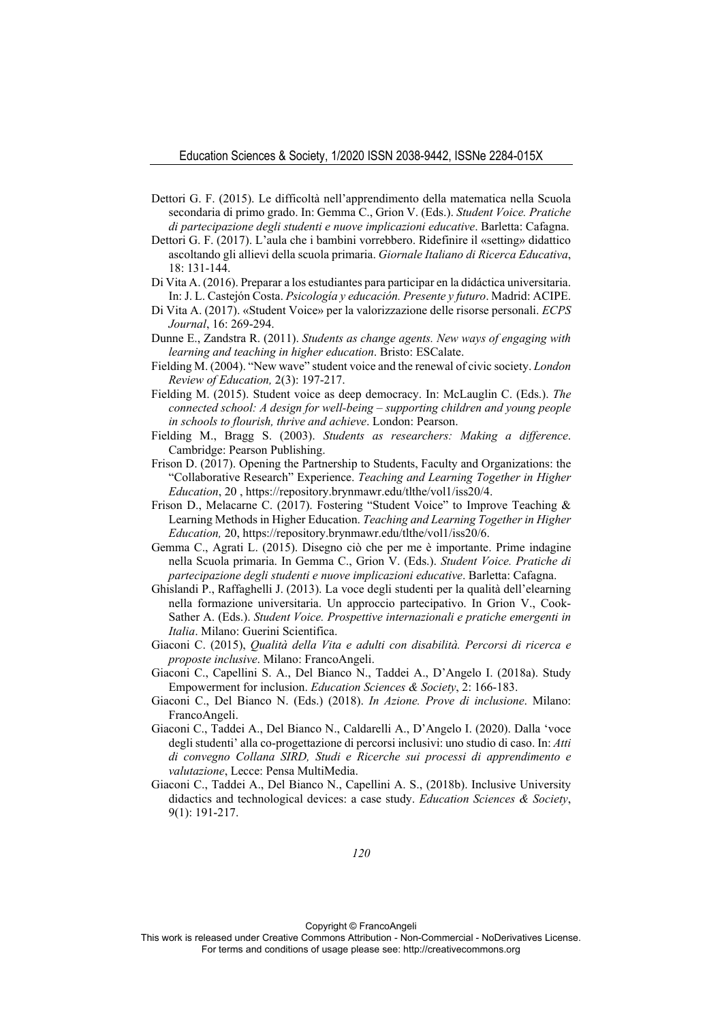- Dettori G. F. (2015). Le difficoltà nell'apprendimento della matematica nella Scuola secondaria di primo grado. In: Gemma C., Grion V. (Eds.). *Student Voice. Pratiche di partecipazione degli studenti e nuove implicazioni educative*. Barletta: Cafagna.
- Dettori G. F. (2017). L'aula che i bambini vorrebbero. Ridefinire il «setting» didattico ascoltando gli allievi della scuola primaria. *Giornale Italiano di Ricerca Educativa*, 18: 131-144.
- Di Vita A. (2016). Preparar a los estudiantes para participar en la didáctica universitaria. In: J. L. Castejón Costa. *Psicología y educación. Presente y futuro*. Madrid: ACIPE.
- Di Vita A. (2017). «Student Voice» per la valorizzazione delle risorse personali. *ECPS Journal*, 16: 269-294.
- Dunne E., Zandstra R. (2011). *Students as change agents. New ways of engaging with learning and teaching in higher education*. Bristo: ESCalate.
- Fielding M. (2004). "New wave" student voice and the renewal of civic society. *London Review of Education,* 2(3): 197-217.
- Fielding M. (2015). Student voice as deep democracy. In: McLauglin C. (Eds.). *The connected school: A design for well-being – supporting children and young people in schools to flourish, thrive and achieve*. London: Pearson.
- Fielding M., Bragg S. (2003). *Students as researchers: Making a difference*. Cambridge: Pearson Publishing.
- Frison D. (2017). Opening the Partnership to Students, Faculty and Organizations: the "Collaborative Research" Experience. *Teaching and Learning Together in Higher Education*, 20 , https://repository.brynmawr.edu/tlthe/vol1/iss20/4.
- Frison D., Melacarne C. (2017). Fostering "Student Voice" to Improve Teaching & Learning Methods in Higher Education. *Teaching and Learning Together in Higher Education,* 20, https://repository.brynmawr.edu/tlthe/vol1/iss20/6.
- Gemma C., Agrati L. (2015). Disegno ciò che per me è importante. Prime indagine nella Scuola primaria. In Gemma C., Grion V. (Eds.). *Student Voice. Pratiche di partecipazione degli studenti e nuove implicazioni educative*. Barletta: Cafagna.
- Ghislandi P., Raffaghelli J. (2013). La voce degli studenti per la qualità dell'elearning nella formazione universitaria. Un approccio partecipativo. In Grion V., Cook-Sather A. (Eds.). *Student Voice. Prospettive internazionali e pratiche emergenti in Italia*. Milano: Guerini Scientifica.
- Giaconi C. (2015), *Qualità della Vita e adulti con disabilità. Percorsi di ricerca e proposte inclusive*. Milano: FrancoAngeli.
- Giaconi C., Capellini S. A., Del Bianco N., Taddei A., D'Angelo I. (2018a). Study Empowerment for inclusion. *Education Sciences & Society*, 2: 166-183.
- Giaconi C., Del Bianco N. (Eds.) (2018). *In Azione. Prove di inclusione*. Milano: FrancoAngeli.
- Giaconi C., Taddei A., Del Bianco N., Caldarelli A., D'Angelo I. (2020). Dalla 'voce degli studenti' alla co-progettazione di percorsi inclusivi: uno studio di caso. In: *Atti di convegno Collana SIRD, Studi e Ricerche sui processi di apprendimento e valutazione*, Lecce: Pensa MultiMedia.
- Giaconi C., Taddei A., Del Bianco N., Capellini A. S., (2018b). Inclusive University didactics and technological devices: a case study. *Education Sciences & Society*, 9(1): 191-217.

This work is released under Creative Commons Attribution - Non-Commercial - NoDerivatives License. For terms and conditions of usage please see: http://creativecommons.org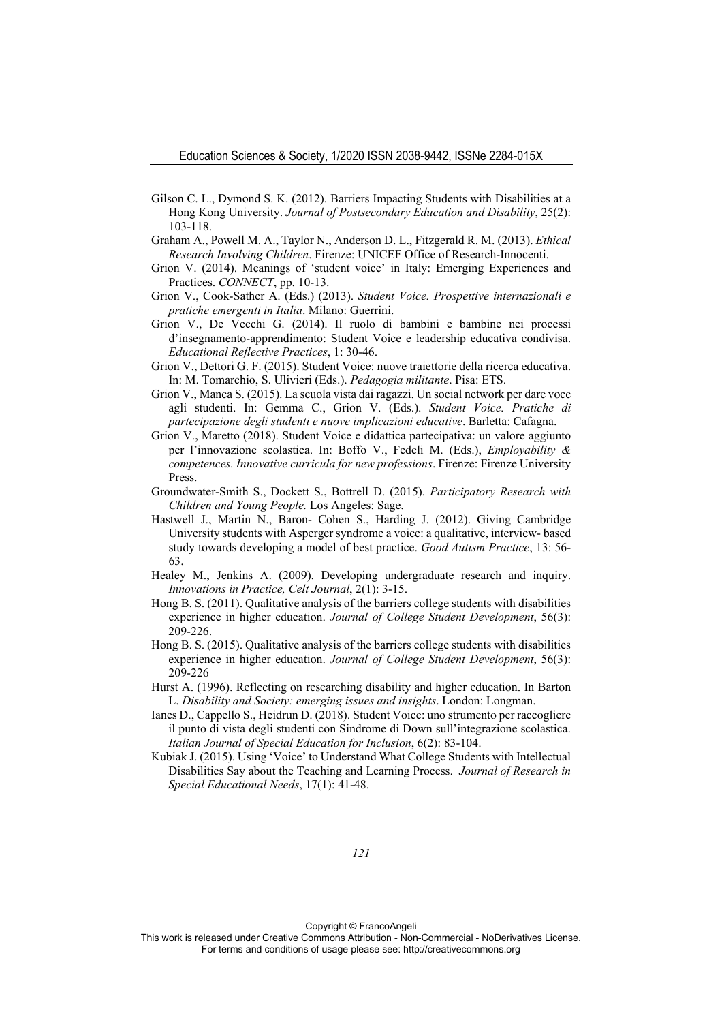- Gilson C. L., Dymond S. K. (2012). Barriers Impacting Students with Disabilities at a Hong Kong University. *Journal of Postsecondary Education and Disability*, 25(2): 103-118.
- Graham A., Powell M. A., Taylor N., Anderson D. L., Fitzgerald R. M. (2013). *Ethical Research Involving Children*. Firenze: UNICEF Office of Research-Innocenti.
- Grion V. (2014). Meanings of 'student voice' in Italy: Emerging Experiences and Practices. *CONNECT*, pp. 10-13.
- Grion V., Cook-Sather A. (Eds.) (2013). *Student Voice. Prospettive internazionali e pratiche emergenti in Italia*. Milano: Guerrini.
- Grion V., De Vecchi G. (2014). Il ruolo di bambini e bambine nei processi d'insegnamento-apprendimento: Student Voice e leadership educativa condivisa. *Educational Reflective Practices*, 1: 30-46.
- Grion V., Dettori G. F. (2015). Student Voice: nuove traiettorie della ricerca educativa. In: M. Tomarchio, S. Ulivieri (Eds.). *Pedagogia militante*. Pisa: ETS.
- Grion V., Manca S. (2015). La scuola vista dai ragazzi. Un social network per dare voce agli studenti. In: Gemma C., Grion V. (Eds.). *Student Voice. Pratiche di partecipazione degli studenti e nuove implicazioni educative*. Barletta: Cafagna.
- Grion V., Maretto (2018). Student Voice e didattica partecipativa: un valore aggiunto per l'innovazione scolastica. In: Boffo V., Fedeli M. (Eds.), *Employability & competences. Innovative curricula for new professions*. Firenze: Firenze University Press.
- Groundwater-Smith S., Dockett S., Bottrell D. (2015). *Participatory Research with Children and Young People.* Los Angeles: Sage.
- Hastwell J., Martin N., Baron- Cohen S., Harding J. (2012). Giving Cambridge University students with Asperger syndrome a voice: a qualitative, interview- based study towards developing a model of best practice. *Good Autism Practice*, 13: 56- 63.
- Healey M., Jenkins A. (2009). Developing undergraduate research and inquiry. *Innovations in Practice, Celt Journal*, 2(1): 3-15.
- Hong B. S. (2011). Qualitative analysis of the barriers college students with disabilities experience in higher education. *Journal of College Student Development*, 56(3): 209-226.
- Hong B. S. (2015). Qualitative analysis of the barriers college students with disabilities experience in higher education. *Journal of College Student Development*, 56(3): 209-226
- Hurst A. (1996). Reflecting on researching disability and higher education. In Barton L. *Disability and Society: emerging issues and insights*. London: Longman.
- Ianes D., Cappello S., Heidrun D. (2018). Student Voice: uno strumento per raccogliere il punto di vista degli studenti con Sindrome di Down sull'integrazione scolastica. *Italian Journal of Special Education for Inclusion*, 6(2): 83-104.
- Kubiak J. (2015). Using 'Voice' to Understand What College Students with Intellectual Disabilities Say about the Teaching and Learning Process. *Journal of Research in Special Educational Needs*, 17(1): 41-48.

Copyright © FrancoAngeli

This work is released under Creative Commons Attribution - Non-Commercial - NoDerivatives License. For terms and conditions of usage please see: http://creativecommons.org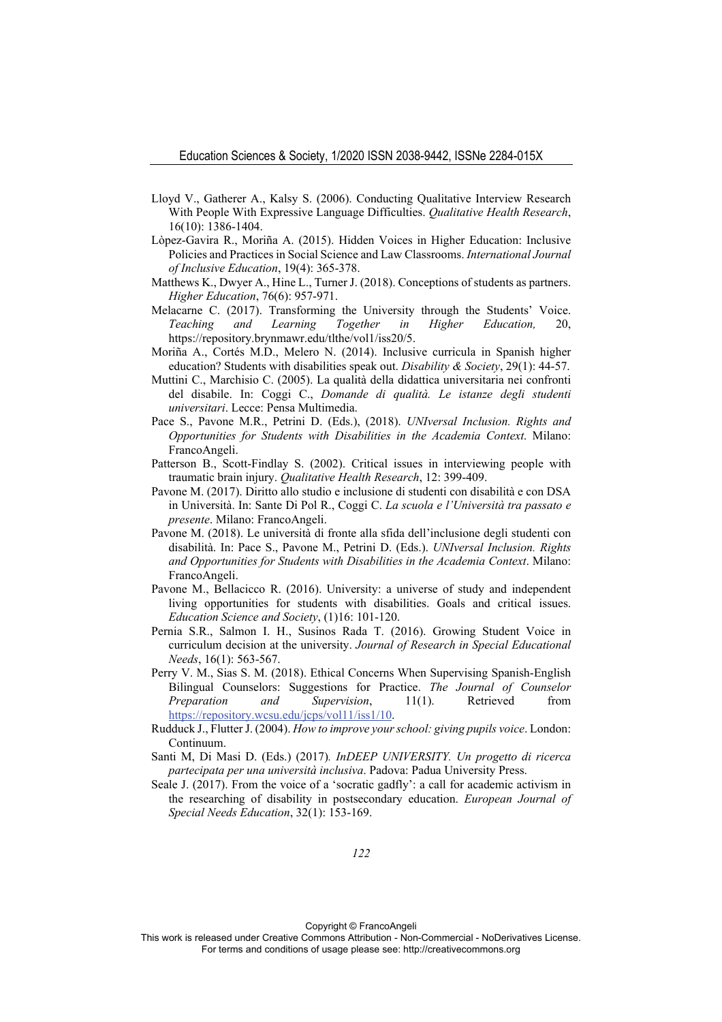- Lloyd V., Gatherer A., Kalsy S. (2006). Conducting Qualitative Interview Research With People With Expressive Language Difficulties. *Qualitative Health Research*, 16(10): 1386-1404.
- Lòpez-Gavira R., Moriña A. (2015). Hidden Voices in Higher Education: Inclusive Policies and Practices in Social Science and Law Classrooms. *International Journal of Inclusive Education*, 19(4): 365-378.
- Matthews K., Dwyer A., Hine L., Turner J. (2018). Conceptions of students as partners. *Higher Education*, 76(6): 957-971.
- Melacarne C. (2017). Transforming the University through the Students' Voice. *Teaching and Learning Together in Higher Education,* 20, https://repository.brynmawr.edu/tlthe/vol1/iss20/5.
- Moriña A., Cortés M.D., Melero N. (2014). Inclusive curricula in Spanish higher education? Students with disabilities speak out. *Disability & Society*, 29(1): 44-57.
- Muttini C., Marchisio C. (2005). La qualità della didattica universitaria nei confronti del disabile. In: Coggi C., *Domande di qualità. Le istanze degli studenti universitari*. Lecce: Pensa Multimedia.
- Pace S., Pavone M.R., Petrini D. (Eds.), (2018). *UNIversal Inclusion. Rights and Opportunities for Students with Disabilities in the Academia Context*. Milano: FrancoAngeli.
- Patterson B., Scott-Findlay S. (2002). Critical issues in interviewing people with traumatic brain injury. *Qualitative Health Research*, 12: 399-409.
- Pavone M. (2017). Diritto allo studio e inclusione di studenti con disabilità e con DSA in Università. In: Sante Di Pol R., Coggi C. *La scuola e l'Università tra passato e presente*. Milano: FrancoAngeli.
- Pavone M. (2018). Le università di fronte alla sfida dell'inclusione degli studenti con disabilità. In: Pace S., Pavone M., Petrini D. (Eds.). *UNIversal Inclusion. Rights and Opportunities for Students with Disabilities in the Academia Context*. Milano: FrancoAngeli.
- Pavone M., Bellacicco R. (2016). University: a universe of study and independent living opportunities for students with disabilities. Goals and critical issues. *Education Science and Society*, (1)16: 101-120.
- Pernia S.R., Salmon I. H., Susinos Rada T. (2016). Growing Student Voice in curriculum decision at the university. *Journal of Research in Special Educational Needs*, 16(1): 563-567.
- Perry V. M., Sias S. M. (2018). Ethical Concerns When Supervising Spanish-English Bilingual Counselors: Suggestions for Practice. *The Journal of Counselor Preparation and Supervision*, 11(1). Retrieved from https://repository.wcsu.edu/jcps/vol11/iss1/10.
- Rudduck J., Flutter J. (2004). *How to improve your school: giving pupils voice*. London: Continuum.
- Santi M, Di Masi D. (Eds.) (2017)*. InDEEP UNIVERSITY. Un progetto di ricerca partecipata per una università inclusiva*. Padova: Padua University Press.
- Seale J. (2017). From the voice of a 'socratic gadfly': a call for academic activism in the researching of disability in postsecondary education. *European Journal of Special Needs Education*, 32(1): 153-169.

This work is released under Creative Commons Attribution - Non-Commercial - NoDerivatives License. For terms and conditions of usage please see: http://creativecommons.org